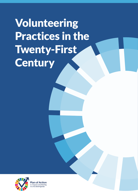Volunteering Practices in the Twenty-First **Century** 

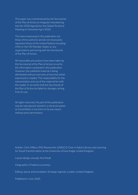This paper was commissioned by the Secretariat of the Plan of Action to Integrate Volunteering into the 2030 Agenda for the Global Technical Meeting on Volunteering in 2020.

The views expressed in this publication are those of the author(s) and do not necessarily represent those of the United Nations including UNV, or the UN Member States or any organizations partnering with the Secretariat of the Plan of Action.

All reasonable precautions have been taken by the Secretariat of the Plan of Action to verify the information contained in this publication. However, the published material is being distributed without warranty of any kind, either expressed or implied. The responsibility for the interpretation and use of the material lies with the reader. In no event shall the Secretariat of the Plan of Action be liable for damages arising from its use.

All rights reserved. No part of this publication may be reproduced, stored in a retrieval system or transmitted, in any form or by any means without prior permissions.

Author: Chris Millora, PhD Researcher, UNESCO Chair in Adult Literacy and Learning for Social Transformation at the University of East Anglia, United Kingdom

Layout design concept: Ana Petak

Infographics: Frederica Lourenço

Editing, layout and translation: Strategic Agenda, London, United Kingdom

Published in June 2020.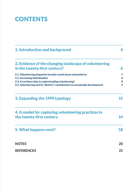## **CONTENTS**

| 1. Introduction and background                                                                                                       |        |
|--------------------------------------------------------------------------------------------------------------------------------------|--------|
| 2. Evidence of the changing landscape of volunteering                                                                                |        |
| in the twenty-first century?                                                                                                         | 6      |
| 2.1. Volunteering shaped by broader social issues and patterns                                                                       | 7      |
| 2.2. Increasing individualism                                                                                                        | 8      |
| 2.3. A northern-bias in understanding volunteering?<br>2.4. Volunteering and its "distinct" contributions to sustainable development | 8<br>9 |
| 3. Expanding the 1999 typology                                                                                                       | 11     |
| 4. A model for capturing volunteering practices in                                                                                   |        |
| the twenty-first century                                                                                                             | 14     |
| 5. What happens next?                                                                                                                | 18     |
| <b>NOTES</b>                                                                                                                         | 20     |
| <b>REFERENCES</b>                                                                                                                    | 21     |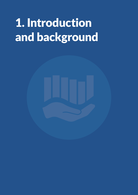# <span id="page-3-0"></span>1. Introduction and background

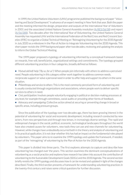In 1999, the United Nations Volunteers (UNV) programme published the background paper "Volunteering and Social Development" in advance of an expert meeting in New York that year. Both the paper and the meeting informed the design, preparation and outputs of the International Year of Volunteers in 2001 and the associated United Nations General Assembly resolution ([A/RES/56/38\)](https://www.unv.org/sites/default/files/A%20RES%2056%2038.pdf) and report ([A/56/288\)](https://www.un.org/webcast/events/iyv/a56288.pdf). Two decades after the International Year of Volunteering, the United Nations General Assembly has requested UNV and the International Federation of the Red Cross and Red Crescent Societies (IFRC) to organize a Global Technical Meeting on "Reimagining Volunteering for the 2030 Agenda" in July 2020 as a milestone in the Plan of Action to Integrate Volunteering into the 2030 Agenda. This short paper revisits the 1999 background paper after two decades, reviewing and updating the analysis to inform the Global Technical Meeting.

The 1999 paper proposed a typology of volunteering informed by a conceptual framework based on rewards, free-will, beneficiaries, organizational settings and commitments. The typology grouped different volunteering practices in four categories, broadly defined as follows:

• *Mutual aid/self-help ("By us, for us"):* When people join informally with others to address a perceived need. People volunteering in this category either work together to address common needs, reciprocate support or solve a personal need in order to offer help and support to others in the same situation.

• *Philanthropy and service to others:* This is the most commonly perceived form of volunteering and is usually conducted through organizations and associations, where people work to deliver specific services to others in need.

• *Civic participation:* Involves people voluntarily engaging in political or decision-making processes at any level, for example through committees, social audits or providing other forms of feedback.

• *Advocacy and campaigning:* Collective action aimed at securing or preventing change in broad or specific areas, including pressure groups.

Since the publication of the typology over two decades ago, there has been growing interest in the potential of volunteering for social and economic development, including research conducted by new actors, from new perspectives and through new lenses, in increasingly diverse settings. The rapid and widespread changes in the social, political, economic, technological landscapes throughout the world have also created causes for volunteers, new tools they can use and new channels for volunteering. However, while changes have undoubtedly occurred both in the theory and analysis of volunteering and in its practical application, it is not clear whether this has had an impact on the fundamental roles played by volunteers. This paper aims to re-examine the 1999 typology and update the framework, if needed, as part of the "reimagining" of volunteering by the Plan of Action for the 2030 Agenda.

This paper is divided into three parts. The first explores attempts to capture and describe how volunteering has changed over the years. This section examines the dominant conceptualizations of volunteering as a social practice and explores how research has taken into account the contribution of volunteering to the Sustainable Development Goals (SDGs) and the 2030 Agenda. The second section briefly revisits the 1999 typology and discusses how it can be revised and updated in light of the changes described. Finally, the third section presents a framework for understanding volunteering practices in the twenty-first century and raises some critical questions for further discussion.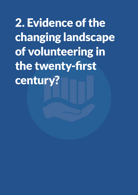<span id="page-5-0"></span>2. Evidence of the changing landscape of volunteering in the twenty-first century?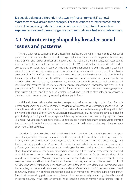<span id="page-6-0"></span>Do people volunteer differently in the twenty-first century and, if so, how? What factors have driven these changes? These questions are important for taking stock of volunteering today and how it could evolve in the future. This section explores how some of these changes are captured and described in a variety of ways.

### **2.1. Volunteering shaped by broader social issues and patterns**

There is evidence to suggest that volunteering practices are changing in response to wider social patterns and challenges, such as the climate emergency, technological advances, migration, the changing nature of work, humanitarian crises and inequalities. The global climate emergency, for instance, has inspired diverse forms of volunteer action. The State of the World's Volunteerism Report 201[81](#page-19-0) underscored the role of volunteers in response, relief and rehabilitation efforts following increasingly common natural disasters. Spontaneous volunteer responses and emergent groups—comprising individuals who are themselves "victims" of crises—are often the first responders following natural disasters[.2](#page-19-0) During the earthquake that struck Nepal in 2015, for example, local survivors immediately came together to care for and support each other, while community members and neighbours were noted as the first and most important rescuers.[3](#page-19-0) These informal volunteering responses have also been taken up in policies and programmes by formal actors, with mixed results. For instance, in one account of volunteering responses from Australia, broader political and social factors led to higher regulation of volunteering responses to disasters, which were strained by increasing state expectations.[4](#page-19-0)

Additionally, the rapid spread of new technologies and online connectivity has also diversified volunteer engagement and facilitated certain individuals with access to volunteering opportunities. For example, around 12,000 individuals from 187 countries volunteer online every year through the UNV online volunteering platform.[5](#page-19-0) Online volunteering encompasses a wide range of activities, including graphic design, updating a Wikipedia page, administering the website of a club or writing reports.<sup>6</sup> Many volunteer-involving organizations incorporate online spaces in their engagement strategy, since they can improve access to individuals who may have encountered difficulties to volunteering in the past, such as persons with disabilities.[7](#page-19-0)

There has also been global recognition of the contribution of informal volunteering or person-to-person helping activities in many communities, with 70 percent of the world's volunteering carried out directly and informally between individuals, outside of "formal" organizations and groups.<sup>8</sup> Recognizing that volunteering goes beyond a "service-delivery mechanism" and is in fact a regular part of many people's everyday lives and livelihoods means acknowledging that volunteering practices can shape and are shaped by social issues at the community and individual levels. For instance, researchers have looked at the link between gender and volunteering, concluding that 57 percent of global volunteering activity is performed by women.<sup>9</sup> Similarly, another cross-country study found that the majority of women volunteer in social and health services while volunteering among men tended to be focused on cultural activities and sports.<sup>10</sup> It has also been observed that VIOs tend to rely on female volunteers, including because they problematically assume that "women have infinite time to participate in volunteer-based community groups".<sup>11</sup> In contrast, ethnographic studies of women health workers in India<sup>12</sup> and Peru<sup>13</sup> found that women struggle to balance volunteer work with other, equally demanding roles at home and in their community. In the Peruvian context, the skills and expertise of women health volunteers are lo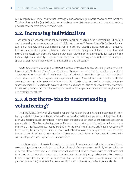<span id="page-7-0"></span>cally recognized as "innate" and "natural" among woman, warranting no special reward or remuneration. This lack of recognition (e.g. in financial terms) makes women feel undervalued and, to a certain extent, places them at an even greater disadvantage.

### **2.2. Increasing individualism**

Another dominant observation of how volunteer work has changed is the increasing individualism in decision-making as to where, how and why individuals volunteer.<sup>14</sup> Personal benefits for the volunteer (e.g. improved employment, well-being and mental health) are valued alongside more altruistic motivations and a sense of obligation. This trend is also characterized by a greater interest in short-term and episodic volunteering. In these volunteer engagements, volunteers offer their time flexibly, depending on their lifestyle and availability.<sup>15</sup> In general terms, episodic volunteering refers to short-term, emergent, sporadic volunteer engagement, which may even be a one-off event.<sup>16</sup>

Volunteers also tend to engage with specific causes and outcomes they personally identify with or those that are "fashionable" and "trendy", instead of showing long-term loyalty to specific organizations. These trends are described as "new" forms of volunteering that are often pitted against "traditional" ones characterized as "lifelong and demanding commitment"[.17](#page-19-0) Much of the research in this particular area has been conducted in countries in the global North, where there are often formal volunteering spaces, meaning it is important to explore whether such trends can also be observed in other contexts. Nonetheless, both "forms" of volunteering can coexist within a particular time and context, instead of one replacing the other[.18](#page-19-0)

### **2.3. A northern-bias in understanding volunteering?**

The IFRC Global Review of Volunteering report<sup>19</sup> found that the dominant understanding of volunteering—which is often presented as "universal"—has been framed by the experiences of the global North. Even volunteering studies conducted in contexts in the global South often use theoretical approaches grounded in the North as a starting point or focus on the experience of international volunteer from the North. This skewed focus means "particular forms of volunteering are privileged over others"[.20](#page-19-0) For instance, the tendency to frame the South as the "host" of volunteer programmes from the North, leads to the wealth of volunteering practices within these contexts being eclipsed, especially with in the context of "poor" and "marginalized" communities[.21](#page-19-0)

To make progress with volunteering for development, we must first understand the realities of volunteering within contexts in the global South, instead of using frameworks highly influenced by experiences elsewhere.[22](#page-19-0) In terms of research on volunteering, this means diversifying the methods used to understand volunteering practices, such as by conducting participatory and ethnographic research. In terms of practice, this means that development actors (volunteers, development workers, staff and partner communities) must examine power relationships in volunteer activities in greater depth.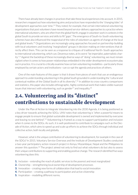<span id="page-8-0"></span>There have already been changes in practices that take these local experiences into account. In 2015, researchers mapped out how volunteering aims and practices have responded to the "changing tides" of development approaches over time.<sup>[23](#page-19-0)</sup> They noted, for example, that certain international volunteering organizations that post volunteers have moved beyond service-delivery approaches to a practice where international volunteers, who are often from the global North, engage in volunteer work in contexts in the global South to provide services and skills to fill "gaps". The emergence of South-to-South volunteering schemes have also influenced the reappraisal of the roles of volunteers as agents of change at the local and global levels.<sup>24</sup> Organizations are increasingly using approaches focused on partnership-building with local volunteers and involving "marginalized" groups in decision-making on interventions that directly affect them. This can be seen as a response to critiques of traditional North–South approaches to international volunteering, which can, Devereux notes, at its worst "be imperialist, paternalistic charity".[25](#page-19-0) Against the backdrop of these increasingly diverse ways of "doing" volunteering, we must remain vigilant when it comes to how power relationships embedded in the wider development ecosystem play out in practice. It is crucial to critically examine how certain volunteering modalities—particularly those employed by certain actors and institutions—can co-opt the agenda and practices of others.

One of the main features of this paper is that it draws from pieces of work that use an endogenous approach to understanding volunteering in the global South grounded in understanding the "cultural and contextual realities of the Global South in all its diversity".[26](#page-19-0) In addition to cross-country comparisons and statistics, this paper also includes ethnographic, highly contextual work that makes visible nuanced issues that intersect with volunteering, such as gender $27$  and inequality.<sup>[28](#page-19-0)</sup>

## **2.4. Volunteering and its "distinct" contributions to sustainable development**

Under the Plan of Action to Integrate Volunteering into the 2030 Agenda, it is being positioned as a key driver towards achieving the SDGs. UNV notes that volunteering is "often a powerful means to engage people to ensure that global sustainable development is owned and implemented by everyone and leaving no one behind".[29](#page-19-0) Volunteering is framed as a way to support participation and inclusion when it comes to the SDGs. As such, it is well-positioned to contribute to campaigns such as the Decade of Action, which aims to speed up and scale up efforts to achieve the SDGs through individual and collective action, both locally and globally.

However, what is the unique contribution of volunteering to development, for example in the case of the SDGs? In 2015, Voluntary Service Overseas and the Institute of Development Studies conducted a two-year participatory action research project in Kenya, Mozambique, Nepal and the Philippines to answer this question.[30](#page-19-0) The project aimed not only to find out what volunteers do but also to assess their unique contributions to supporting and enabling positive change. The research identified five ways volunteering does this:

- 1. Inclusion extending the reach of public services to the poorest and most marginalized
- **2.** Ownership strengthening local ownership of development processes
- **3.** Innovation creating new forms of collaboration that lead to social innovation
- 4. Participation creating a pathway to participation and active citizenship
- **5.** Inspiration modelling different norms.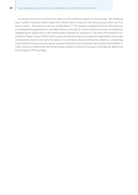<span id="page-9-0"></span>A common theme across these five aspects is the relational aspect of volunteering: "the relational way in which volunteers work makes them better able to interact with those groups which are less easy to reach - the poorest and most marginalized".<sup>[31](#page-19-0)</sup> The research explained that the effectiveness of development programmes is not determined by the lack of services but by how they are delivered, highlighting the importance of the relationships facilitated by volunteers. The State of the World's Volunteerism Report argues that it is the capacity of volunteering to stimulate self-organization and create and develop human connections that allows it to contribute towards community resilience. Considering social relations is key to answering our question about the kind of change that volunteering facilitates<sup>[32](#page-19-0)</sup> while a focus on relationships also brings issues of power to the fore (an aspect not explicitly addressed in the original 1999 typology).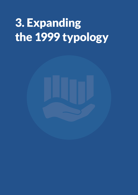# <span id="page-10-0"></span>3. Expanding the 1999 typology

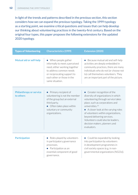<span id="page-11-0"></span>In light of the trends and patterns described in the previous section, this section considers how we can expand the previous typology. Taking the 1999 typology as a starting point, we examine critical questions and issues that can help develop our thinking about volunteering practices in the twenty-first century. Based on the original four types, this paper proposes the following extensions for the updated 2020 typology.

| <b>Types of Volunteering</b>                | <b>Characteristics (1999)</b>                                                                                                                                                                      | <b>Extension (2020)</b>                                                                                                                                                                                                                                                                                                                                                        |
|---------------------------------------------|----------------------------------------------------------------------------------------------------------------------------------------------------------------------------------------------------|--------------------------------------------------------------------------------------------------------------------------------------------------------------------------------------------------------------------------------------------------------------------------------------------------------------------------------------------------------------------------------|
| <b>Mutual aid or self-help</b>              | • When people gather<br>informally to meet a perceived<br>need, either working together<br>to address common needs<br>or reciprocating support to<br>each other or those in the<br>same situation. | Because mutual aid and self-help<br>activities are deeply embedded in<br>community practices, there are many<br>individuals who do not (or choose not<br>to) call themselves volunteers. They<br>are an important part of the picture.                                                                                                                                         |
| <b>Philanthropy or service</b><br>to others | Primary recipient of<br>volunteering is not the member<br>of the group but an external<br>third party.<br>• Often takes place within<br>voluntary or community<br>organizations.                   | • Greater recognition of the<br>diversity of organizations in which<br>volunteering through service takes<br>place, such as corporations and<br>universities. <sup>33</sup><br>• A closer look at the varying roles<br>of volunteers within organizations,<br>beyond delivering services.<br>Volunteers could also be leaders,<br>decision makers, planners and<br>evaluators. |
| <b>Participation</b>                        | • Roles played by volunteers<br>in participatory governance<br>processes.<br>• Participation as an<br>essential component of good<br>governance.                                                   | • Could be expanded by looking<br>into participation by volunteers<br>in development programmes in<br>civil society spaces (e.g. in non-<br>governmental organizations (NGOs)).                                                                                                                                                                                                |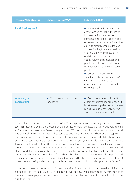<span id="page-12-0"></span>

| <b>Types of Volunteering</b>      | <b>Characteristics (1999)</b>              | <b>Extension (2020)</b>                                                                                                                                                                                                                                                                                                                                                                                                                                                                                                                                                                                                                          |
|-----------------------------------|--------------------------------------------|--------------------------------------------------------------------------------------------------------------------------------------------------------------------------------------------------------------------------------------------------------------------------------------------------------------------------------------------------------------------------------------------------------------------------------------------------------------------------------------------------------------------------------------------------------------------------------------------------------------------------------------------------|
| <b>Participation (cont.)</b>      |                                            | It is important to include issues of<br>$\bullet$<br>agency and voice in the discussion.<br>Understanding the extent of<br>participation is critical, since it could<br>only mean "attendance", without the<br>ability to directly shape outcomes.<br>In line with this, there is a need to<br>critically examine the possibility<br>of states and governments co-<br>opting volunteering agendas and<br>practices, which would otherwise<br>be embedded in community-based<br>practices.<br>Consider the possibility of<br>volunteering to disrupt/question/<br>challenge government and<br>development processes and not<br>only support them. |
| <b>Advocacy or</b><br>campaigning | • Collective action to lobby<br>for change | Could look closely at the political<br>aspect of volunteering practices and<br>how they could go beyond awareness-<br>raising to actually challenge power<br>structures at a systems level.                                                                                                                                                                                                                                                                                                                                                                                                                                                      |

In addition to the four types introduced in 1999, this paper also proposes adding a fifth type of volunteering practice, following the proposal by the Institute for Volunteer Research to include volunteering as "expressive behaviours" or "volunteering as leisure".<sup>34</sup> This type would cover volunteering motivated by a personal interest, in activities such as concerts, arts and sports events and tourism. This type of volunteering includes the wealth of volunteer activities primarily conducted by individuals to obtain human, social and cultural capital that could be valuable, for example, for young people entering the job market. It is important to highlight that thinking of volunteering as leisure does not mean a frivolous activity performed by hobbyists and nor is it synonymous with "voluntourism" (a combination of leisure travel and charity work that is not compatible with principles of effective and sustainable development). Stebbins has proposed the term "serious leisure" to indicate that this form of volunteering could be performed systematically and be "sufficiently substantial, interesting and fulfilling for the participant to find a (leisure) career there acquiring and expressing a combination of its special skills, knowledge and experience".[35](#page-19-0)

As we shall see further on, to avoid misconceptions it is also worth noting here that all five proposed types are not mutually exclusive and can be overlapping. A volunteering activity with aspects of "leisure", for example, can be combined with aspects of the other four types in different combinations and intensities.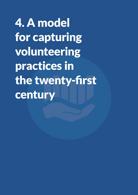<span id="page-13-0"></span>4. A model for capturing volunteering practices in the twenty-first century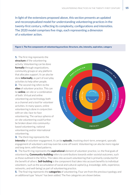In light of the extensions proposed above, this section presents an updated and reconceptualized model for understanding volunteering practices in the twenty-first century, reflecting its complexity, configurations and intensities. The 2020 model comprises five rings, each representing a dimension of a volunteer action.

#### Figure 1. The five components of volunteering practices: Structure, site, intensity, aspiration, category

**1.** The first ring represents the **structure** of the volunteering activity. Volunteering can be done **formally** through organizations, community groups or any platform that allocates support. It can also be done **informally**, as part of everyday activities to help other people. 2. The second ring refers to the **sites** of volunteer practice. This can be **online**, on-site or a combination of both. Virtual and online volunteering use technology both as a channel and a tool for volunteer activities. In many spaces, online volunteering is done in conjunction with on-site, face-to-face volunteering. The various spheres of on-site volunteering could further be broken down into community-



**3.** The third ring represents the

based volunteering, national volunteering and/or international

volunteering.

**intensity** of volunteer engagement. It can be **episodic**, involving short-term, emergent, sporadic engagement of volunteers and may even be a one-off event. Volunteering can also be more regular and long-term, with fixed patterns.

4. The fourth ring represents the **aspirational** element of volunteer practice, i.e. the final goals of volunteering. **Community-building** refers to contributions towards wider societal outcomes, such as those outlined in the SDGs. This takes into account volunteering that is primarily conducted for the benefit of others. **Self-building** is the component that takes into account benefits to individual volunteers, such as the accumulation of social and cultural capital (e.g. knowledge, skills, experience, networks, and well-being) as part of volunteering practice.

5. The final ring represents the **categories** of volunteering. Four are from the previous typology and an additional type "leisure" has been added. The five categories are shown below.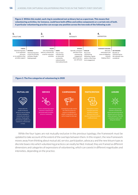Figure 2. Within this model, each ring is considered not as binary but as a spectrum. This means that volunteering activities, for instance, could have both offline and online components or a certain mix of both. A particular volunteering practice can occupy any position across the two ends of the following scale



#### Figure 3. The five categories of volunteering in 2020



While the four types are not mutually exclusive in the previous typology, the framework must be updated to take account of the extent of the overlaps between them. In this respect, the new framework moves away from thinking about mutual aid, service, participation, advocacy and the new leisure type as discrete boxes into which volunteering practices can neatly be filed. Instead, they are framed as different dimensions and categories of expressions of volunteering, which can coexist in different magnitudes and intensities, depending on the practice.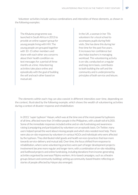Volunteer activities include various combinations and intensities of these elements, as shown in the following examples:

The *Khuluma* programme was launched in South Africa in 2013 to provide an online support group for young people living with HIV. The young people are grouped together with 10–15 other members and share with each other any concerns about their health condition via text messages for a period of three months at a time. Volunteering activities take place online and episodically with the goal of building the self and each other based on mutual aid.

In the UK, a woman in her 70s volunteers for a local school to accompany pupils during field visits. She has done this during her free time for the past five years. It increases her confidence but also helps teachers in managing workload. This volunteering activity is on-site, conducted on a regular and long-term basis, contributes to both building the self and the community and is underpinned by principles of both service and leisure.

The elements within each ring can also coexist in different intensities over time, depending on the context, illustrated by the following example, which shows the wealth of volunteering activities during a context of disaster response and rehabilitation:

In 2013, "super typhoon" Haiyan, which was at the time one of the most powerful typhoons of all time, affected more than 14 million people in the Philippines, with a death toll of 6,000. Some of the immediate responses included online and on-site fundraising and awarenessraising (campaigning and participation) by volunteers on an episodic basis. On Twitter, many users helped spread the word about missing people and which sites needed most help. There were also on-site responses by volunteers in various NGOs and individuals who were affected by the typhoon. They distributed relief goods and health services (practices that lean more towards service-delivery and mutual aid). Over time, the focus shifted from response to rehabilitation, where some volunteering practices were part of larger development projects: involvement became more regular and longer-term, with a combination of on-site rebuilding and livelihood projects and online fundraising, including donations from income-generating activities organised by overseas Filipino workers. Arts-based campaigns, such as a theatre groups (leisure and community building), setting up community-based theatre reflecting on stories of people affected by Haiyan also emerged.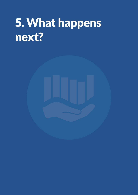# <span id="page-17-0"></span>5. What happens next?

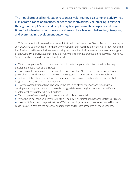The model proposed in this paper recognizes volunteering as a complex activity that cuts across a range of practices, benefits and motivations. Volunteering is relevant throughout people's lives and people may take part in multiple aspects at different times. Volunteering is both a means and an end to achieving, challenging, disrupting and even shaping development outcomes.

This document will be used as an input into the discussions at the Global Technical Meeting in July 2020 and as a foundation for the four workstreams that feed into the meeting. Rather than being the "final say" on the complexity of volunteering practices, it seeks to stimulate discussion among practitioners, policy-makers, academics and the many volunteers who practice these activities first-hand. Some critical questions to be considered include:

- Which configuration(s) of these elements could make the greatest contribution to achieving development goals such as the SDGs?
- How do configurations of these elements change over time? For instance, within a development project lifecycle or the time-frame between devising and implementing volunteering policies?
- In terms of the intensity of volunteer engagement, how can organizations better support both longer-term and shorter-term engagement?
- How can organizations strike a balance in the provision of volunteer opportunities with a development component (i.e. community-building), while also taking into account the welfare and development of volunteers (i.e. self-building)?
- What types of volunteering practices do certain policies promote?
- Who should be included in interpreting this typology in organizations, national contexts or groups?
- How will this model change in the future? Will certain rings include more elements or will some cease to exist? What are the potential opportunities and threats presented by these changes?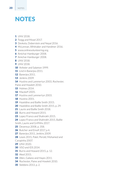## <span id="page-19-0"></span>**NOTES**

- UNV 2018.
- Twigg and Mosel 2017.
- Devkota, Doberstein and Nepal 2016.
- McLennan, Whittaker and Handmer 2016.
- [www.onlinevolunteering.org](http://www.onlinevolunteering.org).
- Amichai-Hamburger 2008.
- Amichai-Hamburger 2008.
- UNV 2018.
- UNV 2018.
- Anheier and Salamon 1999.
- Lind in Banerjea 2011.
- Banerjea 2011.
- Jenkins 2009.
- Hustinx and Lammertyn 2003, Rochester,
- Paine and Howlett 2010.
- Holmes 2014.
- Macduff 2005.
- Hustinx and Lammertyn 2003.
- Hustinx 2001.
- Hazeldine and Baillie Smith 2015.
- Hazeldine and Baillie Smith 2015, p. 29.
- Laurie and Baillie Smith 2018.
- Burns and Howard 2015.
- Lopez Franco and Shahrokh 2015.
- Lopez Franco and Shahrokh 2015, Baillie
- Smith, Laurie and Griffiths 2017.
- Devereux 2008, p. 358.
- Butcher and Einolf 2017, p 4.
- Banerjea 2011, Jenkins 2009.
- Lewis 2015, Patel, Perold, Mohamed and
- Carapinha 2007.
- **UNV 2020.**
- VSO and IDS 2014.
- Burns and Howard 2015, p. 12.
- Aked 2015.
- Allen, Galiano and Hayes 2011.
- Rochester, Paine and Howlett 2010.
- Stebbins 2013, p. 2.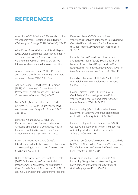## <span id="page-20-0"></span>REFERENCES

Aked, Jody (2015). What's Different about How Volunteers Work? Relationship Building for Wellbeing and Change. *IDS Bulletin* 46(5): 29–42.

Allen Kenn, Mónica Galiano and Sarah Hayes (2011). Global companies volunteering globally: The final report of the Global Corporate Volunteering Research Project. Dulles, VA: International Association for Volunteer Effort.

Amichai-Hamburger, Yair. (2008). Potential and promise of online volunteering. *Computers in Human Behavior*. 24(2): 544–562.

Anheier, Helmut K. and Lester M. Salamon (1999). Volunteering in Cross-National Perspective: Initial Comparisons. *Law and Contemporary Problems*. 62(4): 43–65.

Baillie Smith, Matt, Nina Laurie and Mark Griffiths (2017). South–South volunteering and development. *Geographic Journal*, 184(2): 158–168.

Banerjea, Niharika (2011). Voluntary Participation and Poor Women's Work: A Critical Examination of a Community Health Improvement Initiative in a Kolkata Slum. *Contemporary South Asia*. 19(4): 427–40.

Burns, Danny and Jo Howard (2015). Introduction: What Is the Unique Contribution of Volunteering to International Development? *IDS Bulletin*. 46(5): 1–4.

Butcher, Jacqueline and Christopher J. Einolf (2017). Volunteering: A Complex Social Phenonemon. In *Perspectives on Volunteering: Voices from the South*, J. Butcher and C. J. Einolf (eds.) 3–28. Switzerland: Springer International.

Devereux, Peter (2008). International Volunteering for Development and Sustainability: Outdated Paternalism or a Radical Response to Globalisation? *Development in Practice*, 18(3): 357–370.

Devkota, Bishnu Prasad, Brent Doberstein and Sanjay K. Nepal (2016). Social Capital and Natural Disaster: Local Responses to 2015 Earthquake in Kathmandu. *International Journal of Mass Emergencies and Disasters*, 34(3): 439–466.

Hazeldine, Shaun and Matt Baillie Smith (2015). IFRC Global Review on Volunteering Report. Geneva: IFRC.

Holmes, Kirsten (2014). 'It Fitted in with Our Lifestyle': An Investigation into Episodic Volunteering in the Tourism Sector. *Annals of Leisure Research*. 17(4): 443–459.

Hustinx, Lesley (2001). Individualisation and new styles of youth volunteering: an empirical exploration. *Voluntary Action*. 3(2): 58-78.

Hustinx, Lesley and Frans Lammertyn (2003). Collective and Reflexive Styles of Volunteering: A Sociological Modernization Perspective. *Voluntas*. 14(2): 167–188.

Jenkins, Katy (2009). 'We Have a Lot of Goodwill, but We Still Need to Eat...': Valuing Women's Long Term Voluntarism in Community Development in Lima. *Voluntas*. 20(1): 15–34.

Laurie, Nina and Matt Baillie Smith (2018). Unsettling Geographies of Volunteering and Development. *Transactions of the Institute of British Geographers* 43(1): 95–109.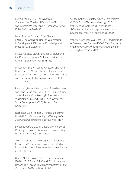Lewis, Simon (2015). Learning from Communities: The Local Dynamics of Formal and Informal Volunteering in Korogocho, Kenya. *IDS Bulletin*. 46(5):69–82.

Lopez Franco, Erika and Thea Shahrokh (2015). The Changing Tides of Volunteering in Development: Discourse, Knowledge and Practice. *IDS Bulletin*. 46.

Macduff, Nancy (2005). Societal Changes and the Rise of the Episodic Volunteer. *In Emerging Areas of Volunteering* (vol. 1) 51–65.

McLennan, Blythe, Joshua Whittaker and John Handmer (2016). The Changing Landscape of Disaster Volunteering: Opportunities, Responses and Gaps in Australia. *Natural Hazards*. 84(3): 2031–2048.

Patel, Leila, Helene Perold, Salah Elzein Mohamed and Rene Carapinha (2007). Five-Country Study on Service and Volunteering in Southern Africa. Washington University in St. Louis. Center for Social Development (CSD) Research Report No. 07-19.

Rochester, Colin, Angela Ellis Paine and Steven Howlett (2010). *Volunteering and Society in the 21st Century*. Hampshire: Palgrave MacMillan.

Stebbins, Robert (2013). Unpaid Work of Love: Defining the Work-Leisure Axis of Volunteering. *Leisure Studies* 32(3): 339–345.

Twigg, John and Irina Mosel (2017). Emergent Groups and Spontaneous Volunteers in Urban Disaster Response. *Environment and Urbanization*. 29(2): 443–458.

United Nations Volunteers (UNV) programme (2018). 2018 State of the World's Volunteerism Report. The Thread That Binds: *Volunteerism and Community Resilience*. Bonn: UNV.

United Nations Volunteers (UNV) programme (2020). Global Technical Meeting 2020 on Volunteering for the 2030 Agenda. *UNV, 5 October*. Available at [https://www.unv.org/](https://www.unv.org/news/global-meeting-volunteering-2020) [news/global-meeting-volunteering-2020.](https://www.unv.org/news/global-meeting-volunteering-2020)

Voluntary Services Overseas (VSO) and Institute of Development Studies (IDS) (2014). *The role of volunteering in sustainable development*. London and Brighton: VSO and IDS.